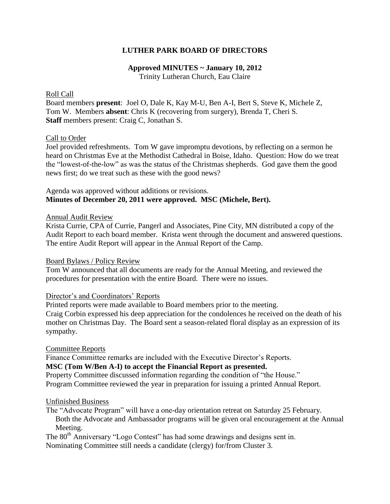## **LUTHER PARK BOARD OF DIRECTORS**

# **Approved MINUTES ~ January 10, 2012**

Trinity Lutheran Church, Eau Claire

## Roll Call

Board members **present**: Joel O, Dale K, Kay M-U, Ben A-I, Bert S, Steve K, Michele Z, Tom W. Members **absent**: Chris K (recovering from surgery), Brenda T, Cheri S. **Staff** members present: Craig C, Jonathan S.

## Call to Order

Joel provided refreshments. Tom W gave impromptu devotions, by reflecting on a sermon he heard on Christmas Eve at the Methodist Cathedral in Boise, Idaho. Question: How do we treat the "lowest-of-the-low" as was the status of the Christmas shepherds. God gave them the good news first; do we treat such as these with the good news?

## Agenda was approved without additions or revisions. **Minutes of December 20, 2011 were approved. MSC (Michele, Bert).**

### Annual Audit Review

Krista Currie, CPA of Currie, Pangerl and Associates, Pine City, MN distributed a copy of the Audit Report to each board member. Krista went through the document and answered questions. The entire Audit Report will appear in the Annual Report of the Camp.

### Board Bylaws / Policy Review

Tom W announced that all documents are ready for the Annual Meeting, and reviewed the procedures for presentation with the entire Board. There were no issues.

## Director's and Coordinators' Reports

Printed reports were made available to Board members prior to the meeting.

Craig Corbin expressed his deep appreciation for the condolences he received on the death of his mother on Christmas Day. The Board sent a season-related floral display as an expression of its sympathy.

### Committee Reports

Finance Committee remarks are included with the Executive Director's Reports.

### **MSC (Tom W/Ben A-I) to accept the Financial Report as presented.**

Property Committee discussed information regarding the condition of "the House." Program Committee reviewed the year in preparation for issuing a printed Annual Report.

### Unfinished Business

The "Advocate Program" will have a one-day orientation retreat on Saturday 25 February. Both the Advocate and Ambassador programs will be given oral encouragement at the Annual Meeting.

The 80<sup>th</sup> Anniversary "Logo Contest" has had some drawings and designs sent in.

Nominating Committee still needs a candidate (clergy) for/from Cluster 3.